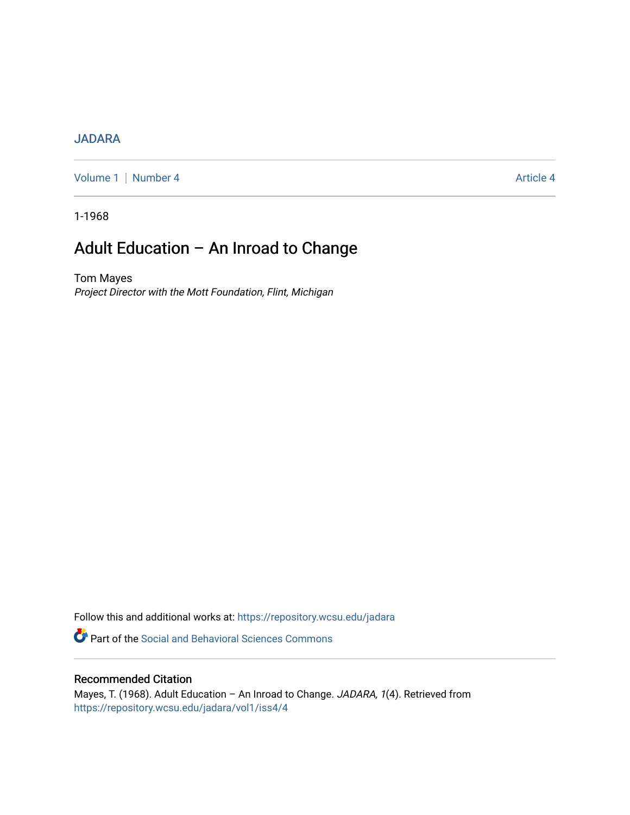### [JADARA](https://repository.wcsu.edu/jadara)

[Volume 1](https://repository.wcsu.edu/jadara/vol1) | [Number 4](https://repository.wcsu.edu/jadara/vol1/iss4) Article 4

1-1968

# Adult Education – An Inroad to Change

Tom Mayes Project Director with the Mott Foundation, Flint, Michigan

Follow this and additional works at: [https://repository.wcsu.edu/jadara](https://repository.wcsu.edu/jadara?utm_source=repository.wcsu.edu%2Fjadara%2Fvol1%2Fiss4%2F4&utm_medium=PDF&utm_campaign=PDFCoverPages)

**P** Part of the Social and Behavioral Sciences Commons

### Recommended Citation

Mayes, T. (1968). Adult Education - An Inroad to Change. JADARA, 1(4). Retrieved from [https://repository.wcsu.edu/jadara/vol1/iss4/4](https://repository.wcsu.edu/jadara/vol1/iss4/4?utm_source=repository.wcsu.edu%2Fjadara%2Fvol1%2Fiss4%2F4&utm_medium=PDF&utm_campaign=PDFCoverPages)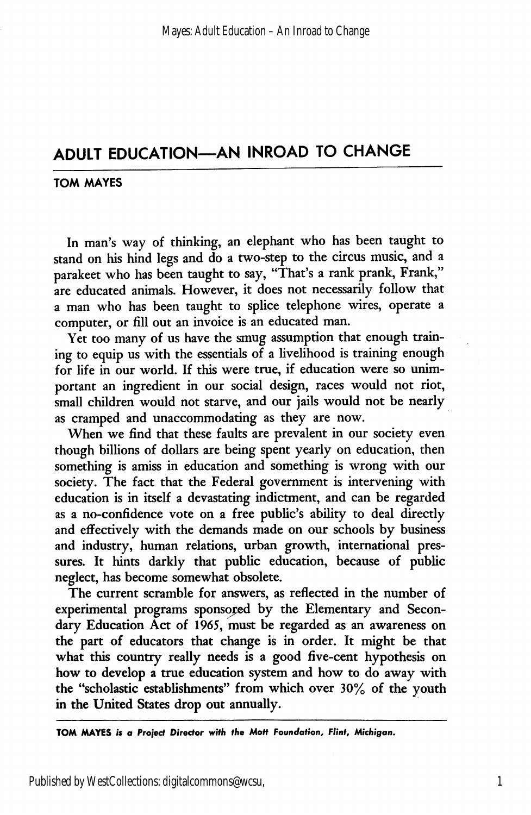## ADULT EDUCATION—AN INROAD TO CHANGE

#### TOM MAYES

In man's way of thinking, an elephant who has been taught to stand on his hind legs and do a two-step to the circus music, and a parakeet who has been taught to say, "That's a rank prank, Frank," are educated animals. However, it does not necessarily follow that a man who has been taught to splice telephone wires, operate a computer, or fill out an invoice is an educated man.

Yet too many of us have the smug assumption that enough training to equip us with the essentials of a livelihood is training enough for life in our world. If this were true, if education were so unim portant an ingredient in our social design, races would not riot, small children would not starve, and our jails would not be nearly as cramped and unaccommodating as they are now.

When we find that these faults are prevalent in our society even though billions of dollars are being spent yearly on education, then something is amiss in education and something is wrong with our society. The fact that the Federal government is intervening with education is in itself a devastating indictment, and can be regarded as a no-confidence vote on a free public's ability to deal directly and effectively with the demands made on our schools by business and industry, human relations, urban growth, international pres sures. It hints darkly that public education, because of public neglect, has become somewhat obsolete.

The current scramble for answers, as reflected in the number of experimental programs sponsored by the Elementary and Secon dary Education Act of 1965, must be regarded as an awareness on the part of educators that change is in order. It might be that what this country really needs is a good five-cent hypothesis on how to develop a true education system and how to do away with the "scholastic establishments" from which over 30% of the youth in the United States drop out annually.

TOM MAYES is a Project Director with the Mott Foundation, Flint, Michigan.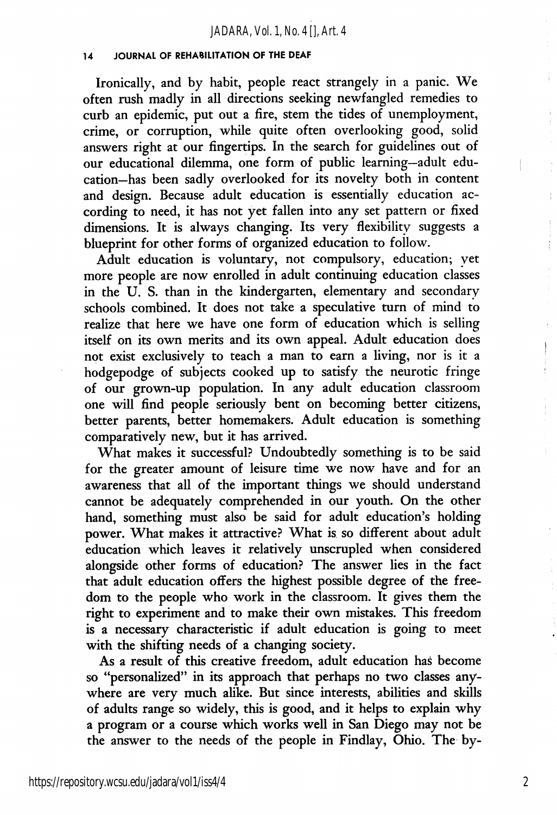#### 14 JOURNAL OF REHABILITATION OF THE DEAF

Ironically, and by habit, people react strangely in a panic. We often rush madly in all directions seeking newfangled remedies to curb an epidemic, put out a fire, stem the tides of unemployment, crime, or corruption, while quite often overlooking good, solid answers right at our fingertips. In the search for guidelines out of our educational dilemma, one form of public learning—adult edu cation—has been sadly overlooked for its novelty both in content and design. Because adult education is essentially education ac cording to need, it has not yet fallen into any set pattern or fixed dimensions. It is always changing. Its very flexibility suggests a blueprint for other forms of organized education to follow.

Adult education is voluntary, not compulsory, education; yet more people are now enrolled in adult continuing education classes in the U. S. than in the kindergarten, elementary and secondary schools combined. It does not take a speculative turn of mind to realize that here we have one form of education which is selling itself on its own merits and its own appeal. Adult education does not exist exclusively to teach a man to earn a living, nor is it a hodgepodge of subjects cooked up to satisfy the neurotic fringe of our grown-up population. In any adult education classroom one will find people seriously bent on becoming better citizens, better parents, better homemakers. Adult education is something comparatively new, but it has arrived.

What makes it successful? Undoubtedly something is to be said for the greater amount of leisure time we now have and for an awareness that all of the important things we should understand cannot be adequately comprehended in our youth. On the other hand, something must also be said for adult education's holding power. What makes it attractive? What is so different about adult education which leaves it relatively unscrupled when considered alongside other forms of education? The answer lies in the fact that adult education offers the highest possible degree of the free dom to the people who work in the classroom. It gives them the right to experiment and to make their own mistakes. This freedom is a necessary characteristic if adult education is going to meet with the shifting needs of a changing society.

As a result of this creative freedom, adult education has become so "personalized" in its approach that perhaps no two classes any where are very much alike. But since interests, abilities and skills of adults range so widely, this is good, and it helps to explain why a program or a course which works well in San Diego may not be the answer to the needs of the people in Findlay, Ohio. The by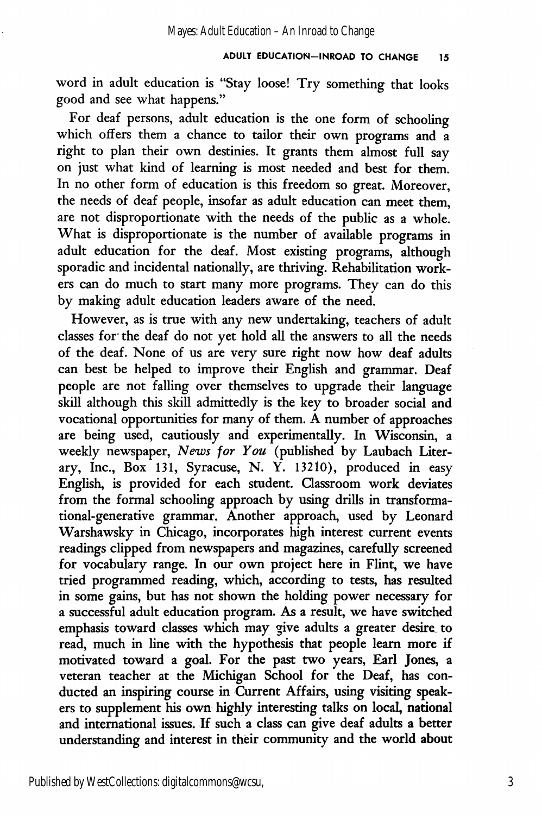word in adult education is "Stay loose! Try something that looks good and see what happens."

For deaf persons, adult education is the one form of schooling which offers them a chance to tailor their own programs and a right to plan their own destinies. It grants them almost full say on just what kind of learning is most needed and best for them. In no other form of education is this freedom so great. Moreover, the needs of deaf people, insofar as adult education can meet them, are not disproportionate with the needs of the public as a whole. What is disproportionate is the number of available programs in adult education for the deaf. Most existing programs, although sporadic and incidental nationally, are thriving. Rehabilitation work ers can do much to start many more programs. They can do this by making adult education leaders aware of the need.

However, as is true with any new undertaking, teachers of adult classes for the deaf do not yet hold all the answers to all the needs of the deaf. None of us are very sure right now how deaf adults can best be helped to improve their English and grammar. Deaf people are not falling over themselves to upgrade their language skill although this skill admittedly is the key to broader social and vocational opportunities for many of them. A number of approaches are being used, cautiously and experimentally. In Wisconsin, a weekly newspaper, News for You (published by Laubach Literary, Inc., Box 131, Syracuse, N. Y. 13210), produced in easy English, is provided for each student. Classroom work deviates from the formal schooling approach by using drills in transforma tional-generative grammar. Another approach, used by Leonard Warshawsky in Chicago, incorporates high interest current events readings clipped from newspapers and magazines, carefully screened for vocabulary range. In our own project here in Flint, we have tried programmed reading, which, according to tests, has resulted in some gains, but has not shown the holding power necessary for a successful adult education program. As a result, we have switched emphasis toward classes which may give adults a greater desire to read, much in line with the hypothesis that people leam more if motivated toward a goal. For the past two years. Earl Jones, a veteran teacher at the Michigan School for the Deaf, has con ducted an inspiring course in Current Affairs, using visiting speak ers to supplement his own highly interesting talks on local, national and international issues. If such a class can give deaf adults a better understanding and interest in their community and the world about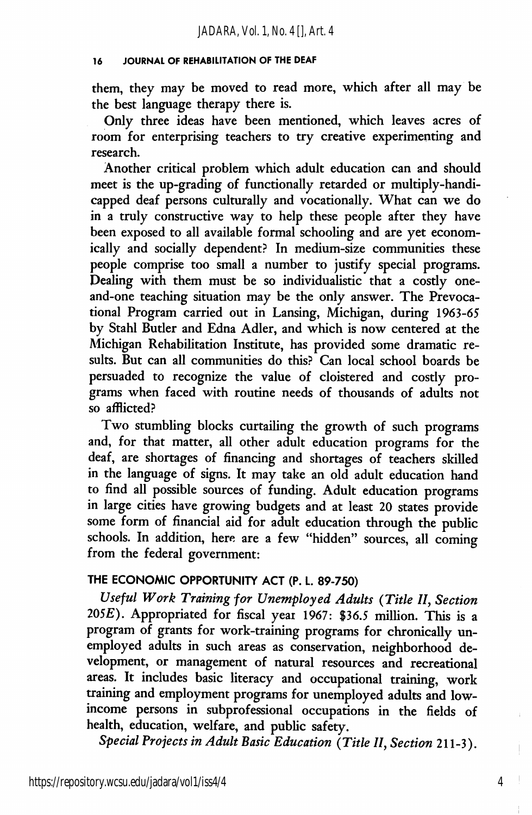#### 16 JOURNAL OF REHABILITATION OF THE DEAF

them, they may be moved to read more, which after all may be the best language therapy there is.

Only three ideas have been mentioned, which leaves acres of room for enterprising teachers to try creative experimenting and research.

Another critical problem which adult education can and should meet is the up-grading of functionally retarded or multiply-handi capped deaf persons culturally and vocationally. What can we do in a truly constructive way to help these people after they have been exposed to all available formal schooling and are yet econom ically and socially dependent? In medium-size communities these people comprise too small a number to justify special programs. Dealing with them must be so individualistic that a costly oneand-one teaching situation may be the only answer. The Prevocational Program carried out in Lansing, Michigan, during 1963-65 by Stahl Butler and Edna Adler, and which is now centered at the Michigan Rehabilitation Institute, has provided some dramatic re sults. But can all communities do this? Can local school boards be persuaded to recognize the value of cloistered and costly pro grams when faced with routine needs of thousands of adults not so afflicted?

Two stumbling blocks curtailing the growth of such programs and, for that matter, all other adult education programs for the deaf, are shortages of financing and shortages of teachers skilled in the language of signs. It may take an old adult education hand to find all possible sources of funding. Adult education programs in large cities have growing budgets and at least 20 states provide some form of financial aid for adult education through the public schools. In addition, here are a few "hidden" sources, all coming from the federal government:

### THE ECONOMIC OPPORTUNITY ACT (P. L. 89-750)

Useful Work Training for Unemployed Adults {Title II, Section  $205E$ ). Appropriated for fiscal year 1967: \$36.5 million. This is a program of grants for work-training programs for chronically un employed adults in such areas as conservation, neighborhood de velopment, or management of natural resources and recreational areas. It includes basic literacy and occupational training, work training and employment programs for unemployed adults and lowincome persons in subprofessional occupations in the fields of health, education, welfare, and public safety.

Special Projects in Adult Basic Education {Title II, Section 211-3).

4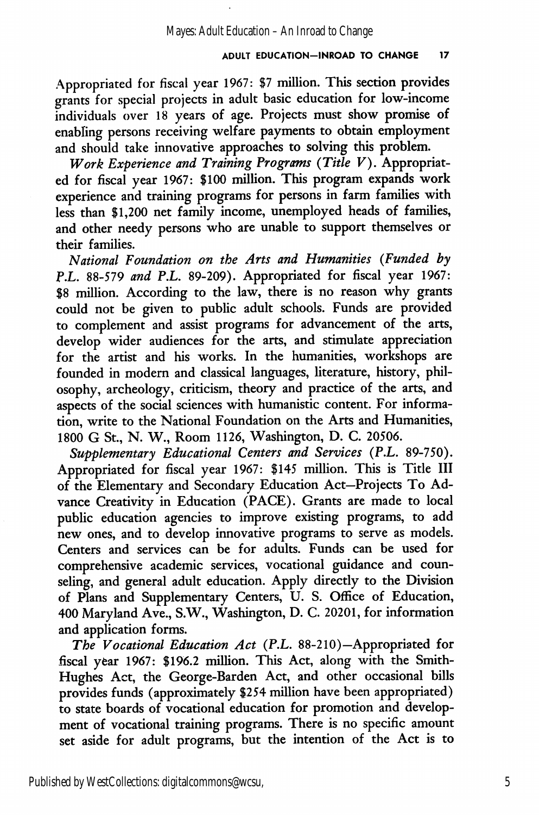#### ADULT EDUCATION-INROAD TO CHANGE 17

Appropriated for fiscal year 1967: \$7 million. This section provides grants for special projects in adult basic education for low-income individuals over 18 years of age. Projects must show promise of enabling persons receiving welfare payments to obtain employment and should take innovative approaches to solving this problem.

Work Experience and Training Programs (Title  $V$ ). Appropriated for fiscal year 1967: \$100 million. This program expands work experience and training programs for persons in farm families with less than \$1,200 net family income, unemployed heads of families, and other needy persons who are unable to support themselves or their families.

National Foundation on the Arts and Humanities (Funded by P.L, 88-579 and P.L. 89-209). Appropriated for fiscal year 1967: \$8 million. According to the law, there is no reason why grants could not be given to public adult schools. Funds are provided to complement and assist programs for advancement of the arts, develop wider audiences for the arts, and stimulate appreciation for the artist and his works. In the humanities, workshops are founded in modern and classical languages, literature, history, phil osophy, archeology, criticism, theory and practice of the arts, and aspects of the social sciences with humanistic content. For informa tion, write to the National Foundation on the Arts and Humanities, 1800 G St., N. W., Room 1126, Washington, D. C. 20506.

Supplementary Educational Centers and Services (P.L. 89-750). Appropriated for fiscal year 1967: \$145 million. This is Title III of the Elementary and Secondary Education Act—Projects To Ad vance Creativity in Education (PACE). Grants are made to local public education agencies to improve existing programs, to add new ones, and to develop innovative programs to serve as models. Centers and services can be for adults. Funds can be used for comprehensive academic services, vocational guidance and coun seling, and general adult education. Apply directly to the Division of Plans and Supplementary Centers, U. S. Office of Education, 400 Maryland Ave., S.W., Washington, D. C. 20201, for information and application forms.

The Vocational Education Act (P.L, 88-210)—Appropriated for fiscal year 1967: \$196.2 million. This Act, along with the Smith-Hughes Act, the George-Barden Act, and other occasional bills provides funds (approximately \$254 million have been appropriated) to state boards of vocational education for promotion and develop ment of vocational training programs. There is no specific amount set aside for adult programs, but the intention of the Act is to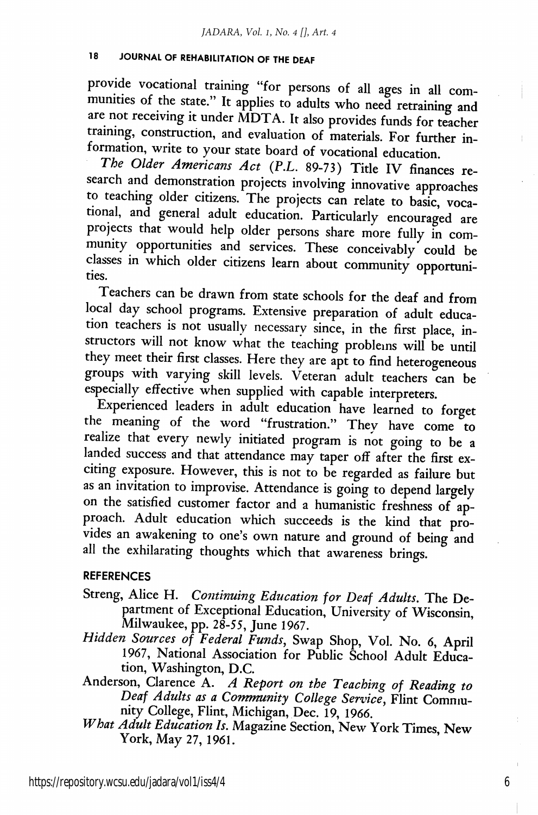#### 18 JOURNAL OF REHABILITATION OF THE DEAF

provide vocational training "for persons of all ages in all com munities of the state." It applies to adults who need retraining and are not receiving it under MDTA. It also provides funds for teacher training, construction, and evaluation of materials. For further information, write to your state board of vocational education.

The Older Americans Act (P.L. 89-73) Title IV finances re search and demonstration projects involving innovative approaches to teaching older citizens. The projects can relate to basic, vocational, and general adult education. Particularly encouraged are projects that would help older persons share more fully in community opportunities and services. These conceivably could be classes in which older citizens learn about community opportunities.

Teachers can be drawn from state schools for the deaf and from local day school programs. Extensive preparation of adult educa tion teachers is not usually necessary since, in the first place, instructors will not know what the teaching problems will be until they meet their first classes. Here they are apt to find heterogeneous groups with varying skill levels. Veteran adult teachers can be especially effective when supplied with capable interpreters.

Experienced leaders in adult education have learned to forget the meaning of the word "frustration." They have come to realize that every newly initiated program is not going to be a landed success and that attendance may taper off after the first exciting exposure. However, this is not to be regarded as failure but as an invitation to improvise. Attendance is going to depend largely on the satisfied customer factor and a humanistic freshness of ap proach. Adult education which succeeds is the kind that pro vides an awakening to one's own nature and ground of being and all the exhilarating thoughts which that awareness brings.

#### **REFERENCES**

- Streng, Alice H. Continuing Education for Deaf Adults. The De partment of Exceptional Education, University of Wisconsin, Milwaukee, pp. 28-55, June 1967.
- Hidden Sources of Federal Funds, Swap Shop, Vol. No. 6, April 1967, National Association for Public School Adult Educa tion, Washington, D.C.
- Anderson, Clarence A. A Report on the Teaching of Reading to Deaf Adults as a Community College Service, Elint Commu nity College, Elint, Michigan, Dec. 19, 1966.
- What Adult Education Is. Magazine Section, New York Times, New York, May 27, 1961.

6